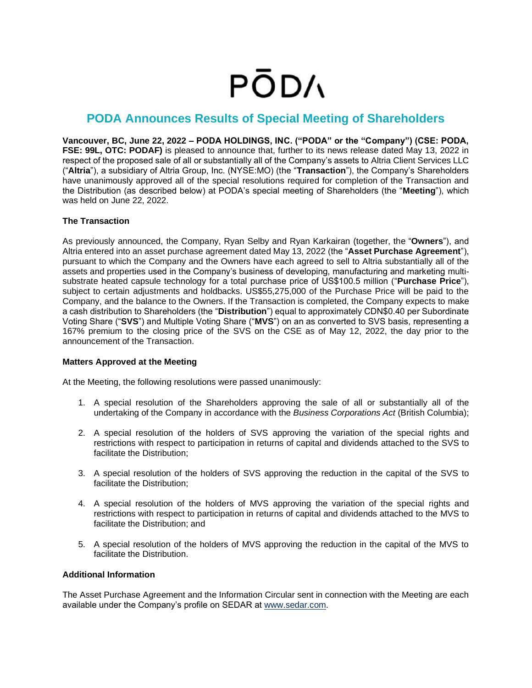# **PODA**

## **PODA Announces Results of Special Meeting of Shareholders**

**Vancouver, BC, June 22, 2022 – PODA HOLDINGS, INC. ("PODA" or the "Company") (CSE: PODA, FSE: 99L, OTC: PODAF)** is pleased to announce that, further to its news release dated May 13, 2022 in respect of the proposed sale of all or substantially all of the Company's assets to Altria Client Services LLC ("**Altria**"), a subsidiary of Altria Group, Inc. (NYSE:MO) (the "**Transaction**"), the Company's Shareholders have unanimously approved all of the special resolutions required for completion of the Transaction and the Distribution (as described below) at PODA's special meeting of Shareholders (the "**Meeting**"), which was held on June 22, 2022.

### **The Transaction**

As previously announced, the Company, Ryan Selby and Ryan Karkairan (together, the "**Owners**"), and Altria entered into an asset purchase agreement dated May 13, 2022 (the "**Asset Purchase Agreement**"), pursuant to which the Company and the Owners have each agreed to sell to Altria substantially all of the assets and properties used in the Company's business of developing, manufacturing and marketing multisubstrate heated capsule technology for a total purchase price of US\$100.5 million ("**Purchase Price**"), subject to certain adjustments and holdbacks. US\$55,275,000 of the Purchase Price will be paid to the Company, and the balance to the Owners. If the Transaction is completed, the Company expects to make a cash distribution to Shareholders (the "**Distribution**") equal to approximately CDN\$0.40 per Subordinate Voting Share ("**SVS**") and Multiple Voting Share ("**MVS**") on an as converted to SVS basis, representing a 167% premium to the closing price of the SVS on the CSE as of May 12, 2022, the day prior to the announcement of the Transaction.

#### **Matters Approved at the Meeting**

At the Meeting, the following resolutions were passed unanimously:

- 1. A special resolution of the Shareholders approving the sale of all or substantially all of the undertaking of the Company in accordance with the *Business Corporations Act* (British Columbia);
- 2. A special resolution of the holders of SVS approving the variation of the special rights and restrictions with respect to participation in returns of capital and dividends attached to the SVS to facilitate the Distribution;
- 3. A special resolution of the holders of SVS approving the reduction in the capital of the SVS to facilitate the Distribution;
- 4. A special resolution of the holders of MVS approving the variation of the special rights and restrictions with respect to participation in returns of capital and dividends attached to the MVS to facilitate the Distribution; and
- 5. A special resolution of the holders of MVS approving the reduction in the capital of the MVS to facilitate the Distribution.

### **Additional Information**

The Asset Purchase Agreement and the Information Circular sent in connection with the Meeting are each available under the Company's profile on SEDAR at [www.sedar.com.](http://www.sedar.com/)